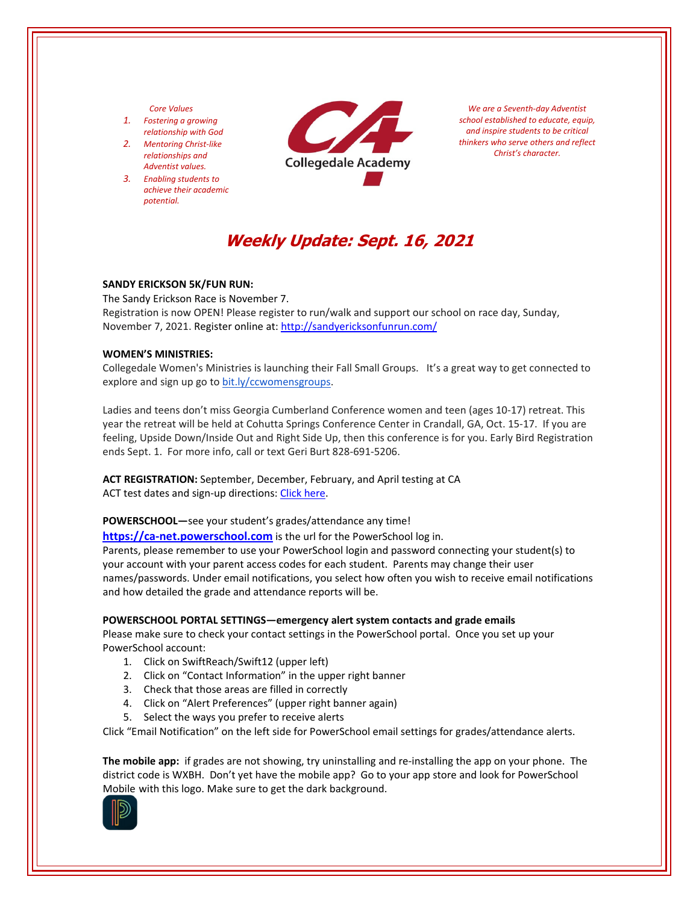#### *Core Values*

- *1. Fostering a growing relationship with God*
- *2. Mentoring Christ‐like relationships and Adventist values.*
- *3. Enabling students to achieve their academic potential.*



*We are a Seventh‐day Adventist school established to educate, equip, and inspire students to be critical thinkers who serve others and reflect Christ's character.*

# **Weekly Update: Sept. 16, 2021**

## **SANDY ERICKSON 5K/FUN RUN:**

The Sandy Erickson Race is November 7. Registration is now OPEN! Please register to run/walk and support our school on race day, Sunday, November 7, 2021. Register online at: <http://sandyericksonfunrun.com/>

#### **WOMEN'S MINISTRIES:**

Collegedale Women's Ministries is launching their Fall Small Groups. It's a great way to get connected to explore and sign up go to [bit.ly/ccwomensgroups.](https://collegedalechurch.churchcenter.com/groups/women-s-ministries)

Ladies and teens don't miss Georgia Cumberland Conference women and teen (ages 10‐17) retreat. This year the retreat will be held at Cohutta Springs Conference Center in Crandall, GA, Oct. 15‐17. If you are feeling, Upside Down/Inside Out and Right Side Up, then this conference is for you. Early Bird Registration ends Sept. 1. For more info, call or text Geri Burt 828‐691‐5206.

**ACT REGISTRATION:** September, December, February, and April testing at CA ACT test dates and sign-up directions: Click [here.](https://www.act.org/)

## **POWERSCHOOL—**see your student's grades/attendance any time!

**https://ca-[net.powerschool.com](https://ca-net.powerschool.com/public/)** is the url for the PowerSchool log in.

Parents, please remember to use your PowerSchool login and password connecting your student(s) to your account with your parent access codes for each student. Parents may change their user names/passwords. Under email notifications, you select how often you wish to receive email notifications and how detailed the grade and attendance reports will be.

## **POWERSCHOOL PORTAL SETTINGS—emergency alert system contacts and grade emails**

Please make sure to check your contact settings in the PowerSchool portal. Once you set up your PowerSchool account:

- 1. Click on SwiftReach/Swift12 (upper left)
- 2. Click on "Contact Information" in the upper right banner
- 3. Check that those areas are filled in correctly
- 4. Click on "Alert Preferences" (upper right banner again)
- 5. Select the ways you prefer to receive alerts

Click "Email Notification" on the left side for PowerSchool email settings for grades/attendance alerts.

**The mobile app:** if grades are not showing, try uninstalling and re‐installing the app on your phone. The district code is WXBH. Don't yet have the mobile app? Go to your app store and look for PowerSchool Mobile with this logo. Make sure to get the dark background.

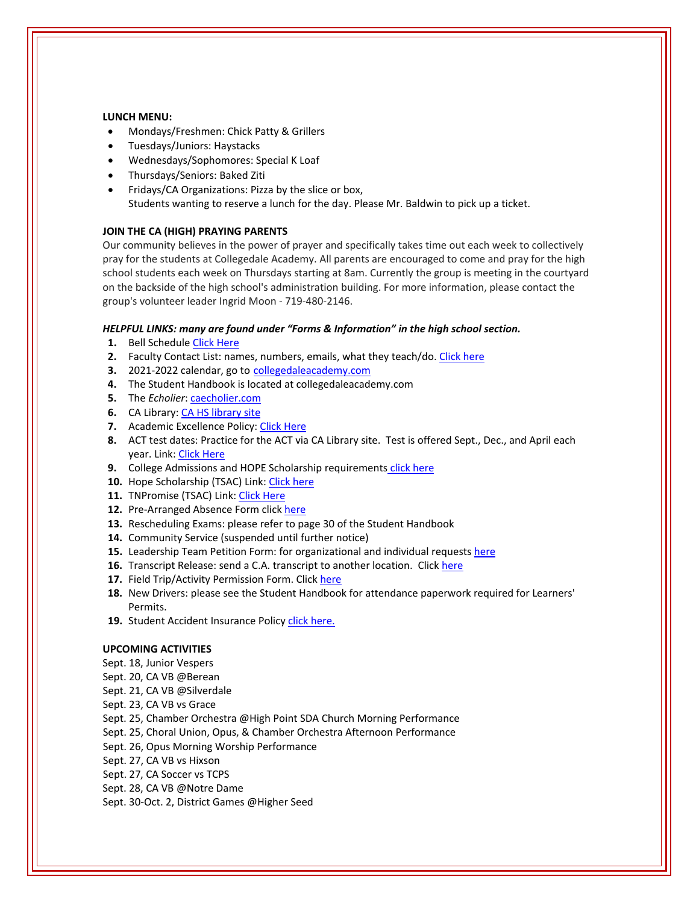#### **LUNCH MENU:**

- Mondays/Freshmen: Chick Patty & Grillers
- Tuesdays/Juniors: Haystacks
- Wednesdays/Sophomores: Special K Loaf
- Thursdays/Seniors: Baked Ziti
- Fridays/CA Organizations: Pizza by the slice or box, Students wanting to reserve a lunch for the day. Please Mr. Baldwin to pick up a ticket.

## **JOIN THE CA (HIGH) PRAYING PARENTS**

Our community believes in the power of prayer and specifically takes time out each week to collectively pray for the students at Collegedale Academy. All parents are encouraged to come and pray for the high school students each week on Thursdays starting at 8am. Currently the group is meeting in the courtyard on the backside of the high school's administration building. For more information, please contact the group's volunteer leader Ingrid Moon ‐ 719‐480‐2146.

## *HELPFUL LINKS: many are found under "Forms & Information" in the high school section.*

- **1.** Bell Schedule Click [Here](https://www.collegedaleacademy.com/wp-content/uploads/2018/08/Bell-Schedule.pdf)
- **2.** Faculty Contact List: names, numbers, emails, what they teach/do. [Click](https://www.collegedaleacademy.com/wp-content/uploads/2021/08/faculty-only-2021-2022.pdf) here
- **3.** 2021-2022 calendar, go to [collegedaleacademy.com](https://www.collegedaleacademy.com/calendars/)
- **4.** The Student Handbook is located at collegedaleacademy.com
- **5.** The *Echolier*: **[caecholier.com](https://caecholier.com/)**
- **6.** CA Library: CA HS [library](https://southernuniongcc.mlasolutions.com/m5/catalog/(S(22nw1fjd3bedd4501posjz0h))/default.aspx?installation=CDA) site
- **7.** Academic Excellence Policy: Click [Here](https://www.collegedaleacademy.com/wp-content/uploads/2018/08/Academic-Excellence-Policy.pdf)
- **8.** ACT test dates: Practice for the ACT via CA Library site. Test is offered Sept., Dec., and April each year. Link: Click [Here](https://www.act.org/)
- **9.** College Admissions and HOPE Scholarship requirements click [here](https://www.collegedaleacademy.com/wp-content/uploads/2019/08/TSAC-Scholarship-Info.pdf)
- 10. Hope Scholarship (TSAC) Link: Click [here](https://www.tn.gov/collegepays/money-for-college/tn-education-lottery-programs/tennessee-hope-scholarship.html)
- 11. TNPromise (TSAC) Link: Click [Here](https://www.tn.gov/tnpromise.html)
- 12. Pre-Arranged Absence Form click [here](https://www.collegedaleacademy.com/wp-content/uploads/2016/11/Class-Absence-Request-Form-May-2017.pdf)
- **13.** Rescheduling Exams: please refer to page 30 of the Student Handbook
- **14.** Community Service (suspended until further notice)
- **15.** Leadership Team Petition Form: for organizational and individual requests [here](https://www.collegedaleacademy.com/wp-content/uploads/2019/08/Leadership-Petition-SSch.pdf)
- **16.** Transcript Release: send a C.A. transcript to another location. Click [here](https://www.collegedaleacademy.com/wp-content/uploads/2016/12/transcriptrelease2014.pdf)
- **17.** Field Trip/Activity Permission Form. Click [here](https://www.collegedaleacademy.com/wp-content/uploads/2018/08/Field-Trip-form.pdf)
- **18.** New Drivers: please see the Student Handbook for attendance paperwork required for Learners' Permits.
- 19. Student Accident Insurance Policy click [here.](https://adventistrisk.org/en-us/insurance/nad/k-12-student-accident)

## **UPCOMING ACTIVITIES**

- Sept. 18, Junior Vespers
- Sept. 20, CA VB @Berean
- Sept. 21, CA VB @Silverdale
- Sept. 23, CA VB vs Grace
- Sept. 25, Chamber Orchestra @High Point SDA Church Morning Performance
- Sept. 25, Choral Union, Opus, & Chamber Orchestra Afternoon Performance
- Sept. 26, Opus Morning Worship Performance
- Sept. 27, CA VB vs Hixson
- Sept. 27, CA Soccer vs TCPS
- Sept. 28, CA VB @Notre Dame
- Sept. 30‐Oct. 2, District Games @Higher Seed